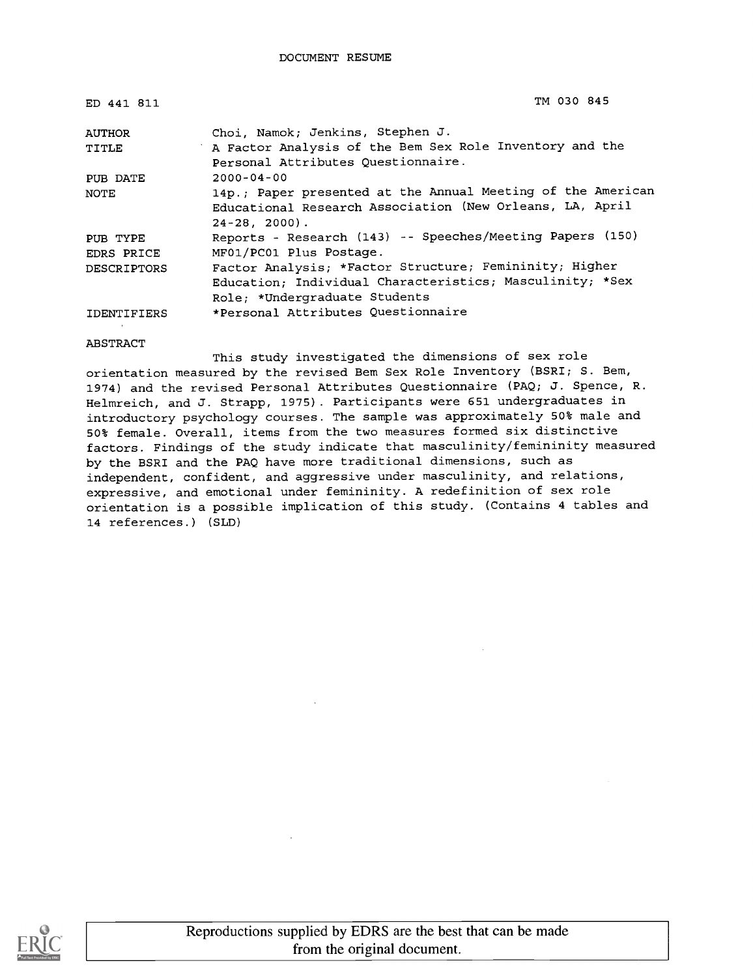| ED 441 811         | TM 030 845                                                                                                                                  |
|--------------------|---------------------------------------------------------------------------------------------------------------------------------------------|
| <b>AUTHOR</b>      | Choi, Namok; Jenkins, Stephen J.                                                                                                            |
| TITLE              | A Factor Analysis of the Bem Sex Role Inventory and the<br>Personal Attributes Questionnaire.                                               |
| PUB DATE           | $2000 - 04 - 00$                                                                                                                            |
| NOTE               | 14p.; Paper presented at the Annual Meeting of the American<br>Educational Research Association (New Orleans, LA, April<br>$24-28$ , 2000). |
| PUB TYPE           | Reports - Research (143) -- Speeches/Meeting Papers (150)                                                                                   |
| EDRS PRICE         | MF01/PC01 Plus Postage.                                                                                                                     |
| <b>DESCRIPTORS</b> | Factor Analysis; *Factor Structure; Femininity; Higher                                                                                      |
|                    | Education; Individual Characteristics; Masculinity; *Sex                                                                                    |
|                    | Role; *Undergraduate Students                                                                                                               |
| IDENTIFIERS        | *Personal Attributes Questionnaire                                                                                                          |

ABSTRACT

This study investigated the dimensions of sex role orientation measured by the revised Bem Sex Role Inventory (BSRI; S. Bem, 1974) and the revised Personal Attributes Questionnaire (PAQ; J. Spence, R. Helmreich, and J. Strapp, 1975). Participants were 651 undergraduates in introductory psychology courses. The sample was approximately 50% male and 50% female. Overall, items from the two measures formed six distinctive factors. Findings of the study indicate that masculinity/femininity measured by the BSRI and the PAQ have more traditional dimensions, such as independent, confident, and aggressive under masculinity, and relations, expressive, and emotional under femininity. A redefinition of sex role orientation is a possible implication of this study. (Contains 4 tables and 14 references.) (SLD)

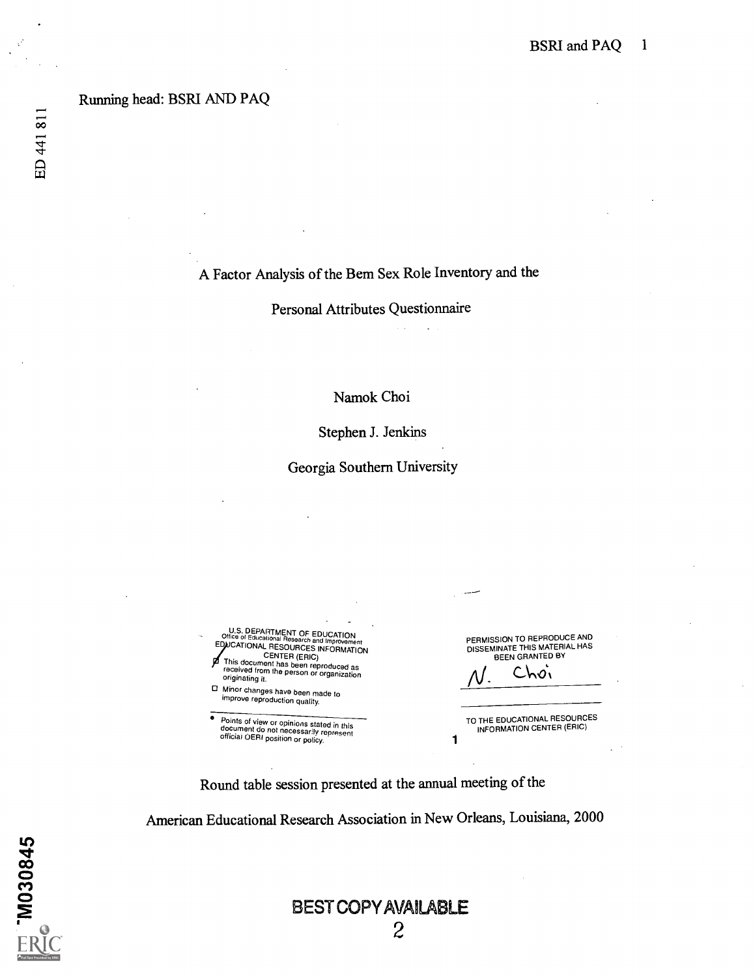#### Running head: BSRI AND PAQ

## A Factor Analysis of the Bern Sex Role Inventory and the

Personal Attributes Questionnaire

### Namok Choi

Stephen J. Jenkins

Georgia Southern University

U.S. DEPARTMENT OF EDUCATION<br>Office of Educational Research and Improvement<br>EDUCATIONAL AFESSOURCES INFORMATION **POSTIGNAL RESOURCES INFORMATION**<br>This document has been reproduced as<br>received from the person or organization<br>originating it. Minor changes have been made to improve reproduction quality.

e Points of view or opinions stated in this document do not necessarily represent official OERI position or policy.

PERMISSION TO REPRODUCE AND<br>DISSEMINATE THIS MATERIAL HAS<br>BEEN GRANTED BY

Choi

1

TO THE EDUCATIONAL RESOURCES INFORMATION CENTER (ERIC)

Round table session presented at the annual meeting of the

American Educational Research Association in New Orleans, Louisiana, 2000

## BEST COPY AVAILABLE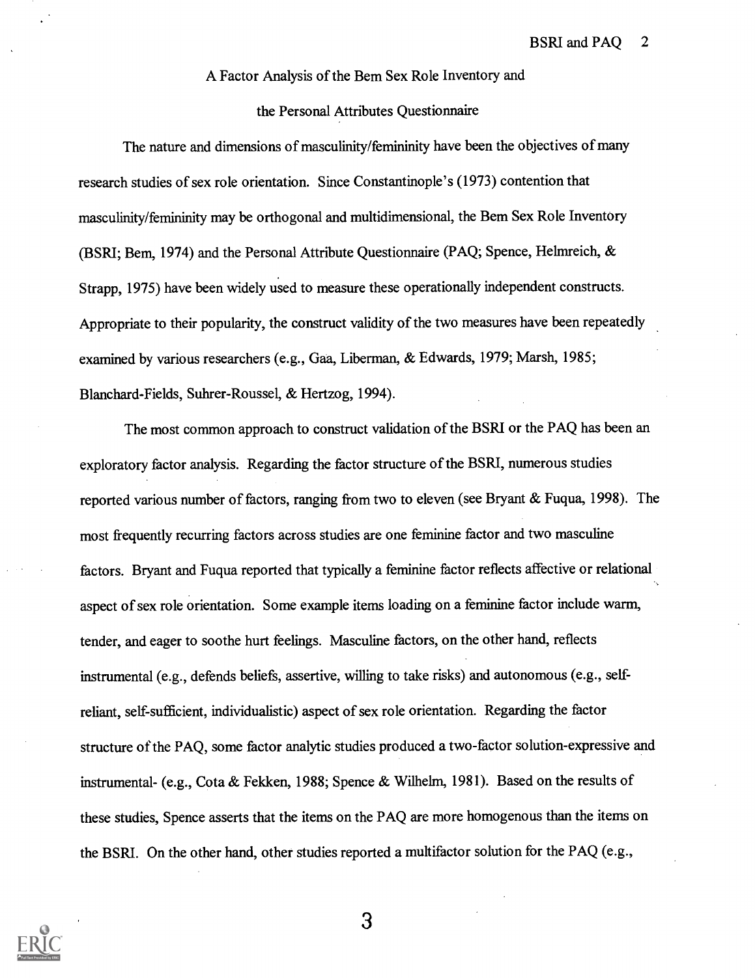#### A Factor Analysis of the Bern Sex Role Inventory and

#### the Personal Attributes Questionnaire

The nature and dimensions of masculinity/femininity have been the objectives of many research studies of sex role orientation. Since Constantinople's (1973) contention that masculinity/femininity may be orthogonal and multidimensional, the Bem Sex Role Inventory (BSRI; Bem. 1974) and the Personal Attribute Questionnaire (PAQ; Spence, Helmreich,  $\&$ Strapp, 1975) have been widely used to measure these operationally independent constructs. Appropriate to their popularity, the construct validity of the two measures have been repeatedly examined by various researchers (e.g., Gaa, Liberman, & Edwards, 1979; Marsh, 1985; Blanchard-Fields, Suhrer-Roussel, & Hertzog, 1994).

The most common approach to construct validation of the BSRI or the PAQ has been an exploratory factor analysis. Regarding the factor structure of the BSRI, numerous studies reported various number of factors, ranging from two to eleven (see Bryant & Fuqua, 1998). The most frequently recurring factors across studies are one feminine factor and two masculine factors. Bryant and Fuqua reported that typically a feminine factor reflects affective or relational aspect of sex role orientation. Some example items loading on a feminine factor include warm, tender, and eager to soothe hurt feelings. Masculine factors, on the other hand, reflects instrumental (e.g., defends beliefs, assertive, willing to take risks) and autonomous (e.g., selfreliant, self-sufficient, individualistic) aspect of sex role orientation. Regarding the factor structure of the PAQ, some factor analytic studies produced a two-factor solution-expressive and instrumental- (e.g., Cota & Fekken, 1988; Spence & Wilhelm, 1981). Based on the results of these studies, Spence asserts that the items on the PAQ are more homogenous than the items on the BSRI. On the other hand, other studies reported a multifactor solution for the PAQ (e.g.,

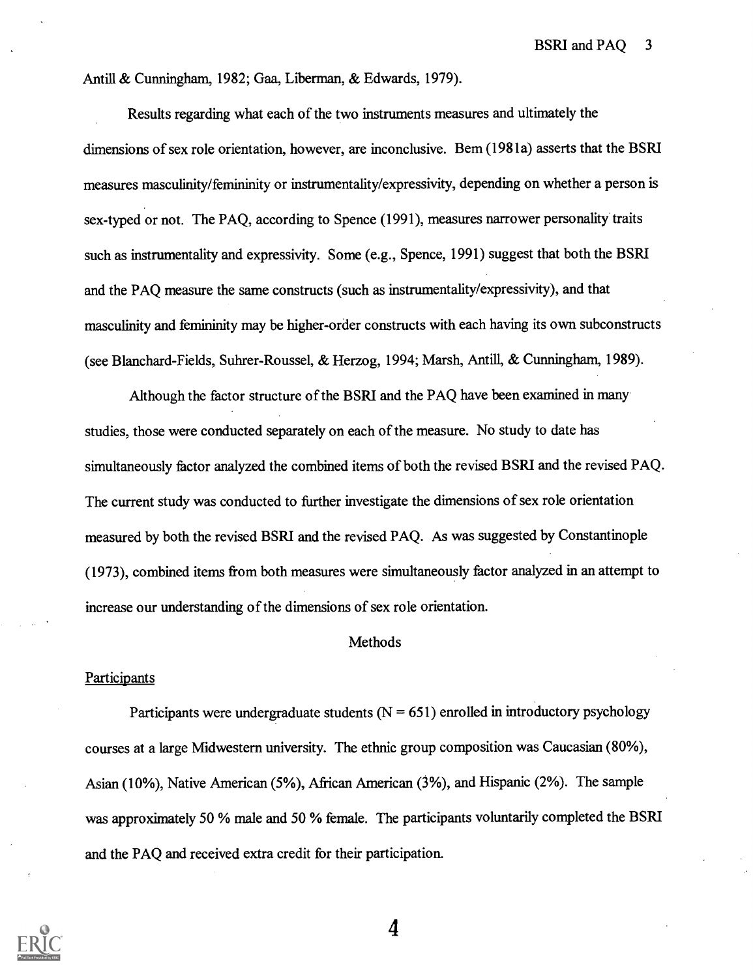Antill & Cunningham, 1982; Gaa, Liberman, & Edwards, 1979).

Results regarding what each of the two instruments measures and ultimately the dimensions of sex role orientation, however, are inconclusive. Bem (1981a) asserts that the BSRI measures masculinity/femininity or instrumentality /expressivity, depending on whether a person is sex-typed or not. The PAQ, according to Spence (1991), measures narrower personality traits such as instrumentality and expressivity. Some (e.g., Spence, 1991) suggest that both the BSRI and the PAQ measure the same constructs (such as instrumentality/expressivity), and that masculinity and femininity may be higher-order constructs with each having its own subconstructs (see Blanchard-Fields, Suhrer-Roussel, & Herzog, 1994; Marsh, Antill, & Cunningham, 1989).

Although the factor structure of the BSRI and the PAQ have been examined in many studies, those were conducted separately on each of the measure. No study to date has simultaneously factor analyzed the combined items of both the revised BSRI and the revised PAQ. The current study was conducted to further investigate the dimensions of sex role orientation measured by both the revised BSRI and the revised PAQ. As was suggested by Constantinople (1973), combined items from both measures were simultaneously factor analyzed in an attempt to increase our understanding of the dimensions of sex role orientation.

#### Methods

#### **Participants**

Participants were undergraduate students ( $N = 651$ ) enrolled in introductory psychology courses at a large Midwestern university. The ethnic group composition was Caucasian (80%), Asian (10%), Native American (5%), African American (3%), and Hispanic (2%). The sample was approximately 50 % male and 50 % female. The participants voluntarily completed the BSRI and the PAQ and received extra credit for their participation.

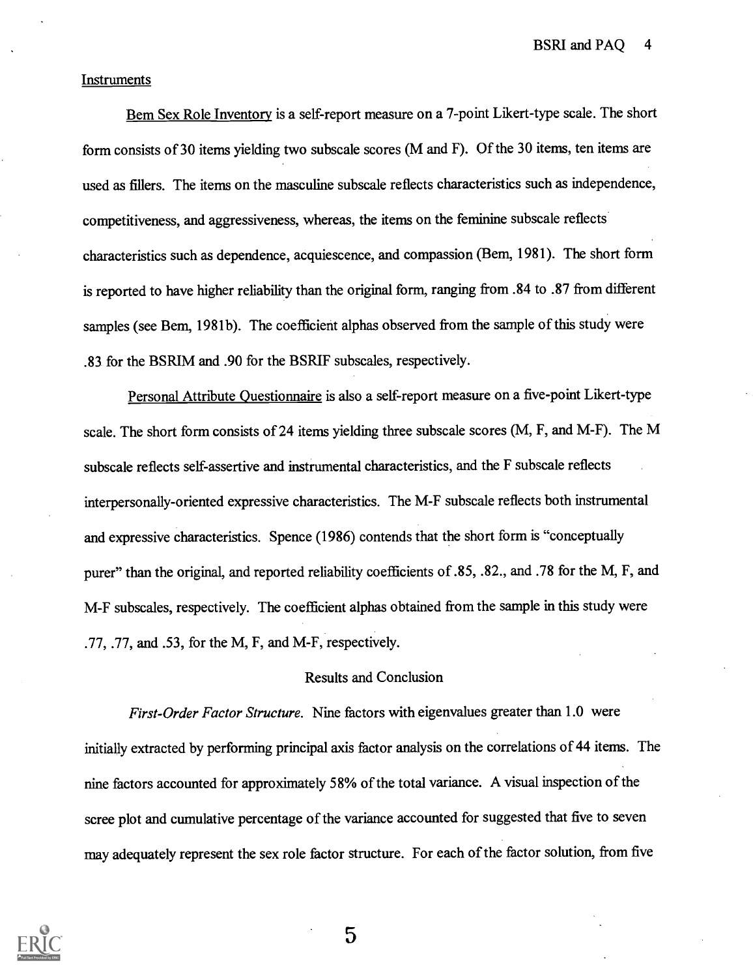BSRI and PAQ 4

#### **Instruments**

Bern Sex Role Inventory is a self-report measure on a 7-point Likert-type scale. The short form consists of 30 items yielding two subscale scores (M and F). Of the 30 items, ten items are used as fillers. The items on the masculine subscale reflects characteristics such as independence, competitiveness, and aggressiveness, whereas, the items on the feminine subscale reflects characteristics such as dependence, acquiescence, and compassion (Bern, 1981). The short form is reported to have higher reliability than the original form, ranging from .84 to .87 from different samples (see Bem, 1981b). The coefficient alphas observed from the sample of this study were .83 for the BSRIM and .90 for the BSRIF subscales, respectively.

Personal Attribute Questionnaire is also a self-report measure on a five-point Likert-type scale. The short form consists of 24 items yielding three subscale scores (M, F, and M-F). The M subscale reflects self-assertive and instrumental characteristics, and the F subscale reflects interpersonally-oriented expressive characteristics. The M-F subscale reflects both instrumental and expressive characteristics. Spence (1986) contends that the short form is "conceptually purer" than the original, and reported reliability coefficients of .85, .82., and .78 for the M, F, and M-F subscales, respectively. The coefficient alphas obtained from the sample in this study were .77, .77, and .53, for the M, F, and M-F, respectively.

#### Results and Conclusion

First-Order Factor Structure. Nine factors with eigenvalues greater than 1.0 were initially extracted by performing principal axis factor analysis on the correlations of 44 items. The nine factors accounted for approximately 58% of the total variance. A visual inspection of the scree plot and cumulative percentage of the variance accounted for suggested that five to seven may adequately represent the sex role factor structure. For each of the factor solution, from five

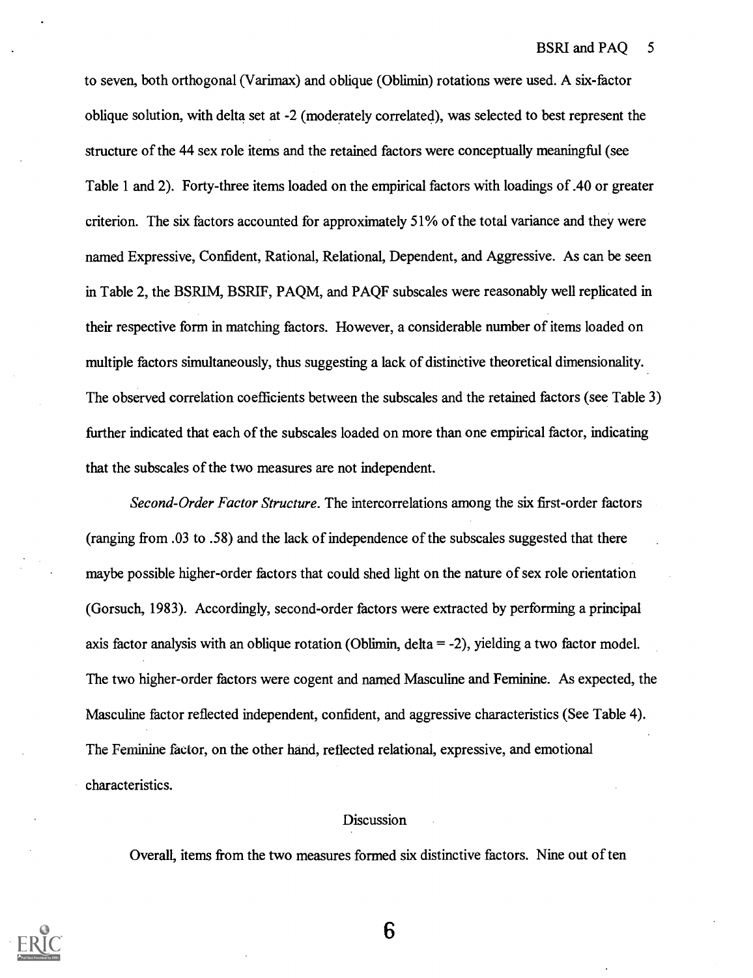to seven, both orthogonal (Varimax) and oblique (Oblimin) rotations were used. A six-factor oblique solution, with delta set at -2 (moderately correlated), was selected to best represent the structure of the 44 sex role items and the retained factors were conceptually meaningful (see Table 1 and 2). Forty-three items loaded on the empirical factors with loadings of .40 or greater criterion. The six factors accounted for approximately 51% of the total variance and they were named Expressive, Confident, Rational, Relational, Dependent, and Aggressive. As can be seen in Table 2, the BSRIM, BSRIF, PAQM, and PAQF subscales were reasonably well replicated in their respective form in matching factors. However, a considerable number of items loaded on multiple factors simultaneously, thus suggesting a lack of distinctive theoretical dimensionality. The observed correlation coefficients between the subscales and the retained factors (see Table 3) further indicated that each of the subscales loaded on more than one empirical factor, indicating that the subscales of the two measures are not independent.

Second-Order Factor Structure. The intercorrelations among the six first-order factors (ranging from .03 to .58) and the lack of independence of the subscales suggested that there maybe possible higher-order factors that could shed light on the nature of sex role orientation (Gorsuch, 1983). Accordingly, second-order factors were extracted by performing a principal axis factor analysis with an oblique rotation (Oblimin, delta = -2), yielding a two factor model. The two higher-order factors were cogent and named Masculine and Feminine. As expected, the Masculine factor reflected independent, confident, and aggressive characteristics (See Table 4). The Feminine factor, on the other hand, reflected relational, expressive, and emotional characteristics.

#### Discussion

Overall, items from the two measures formed six distinctive factors. Nine out of ten

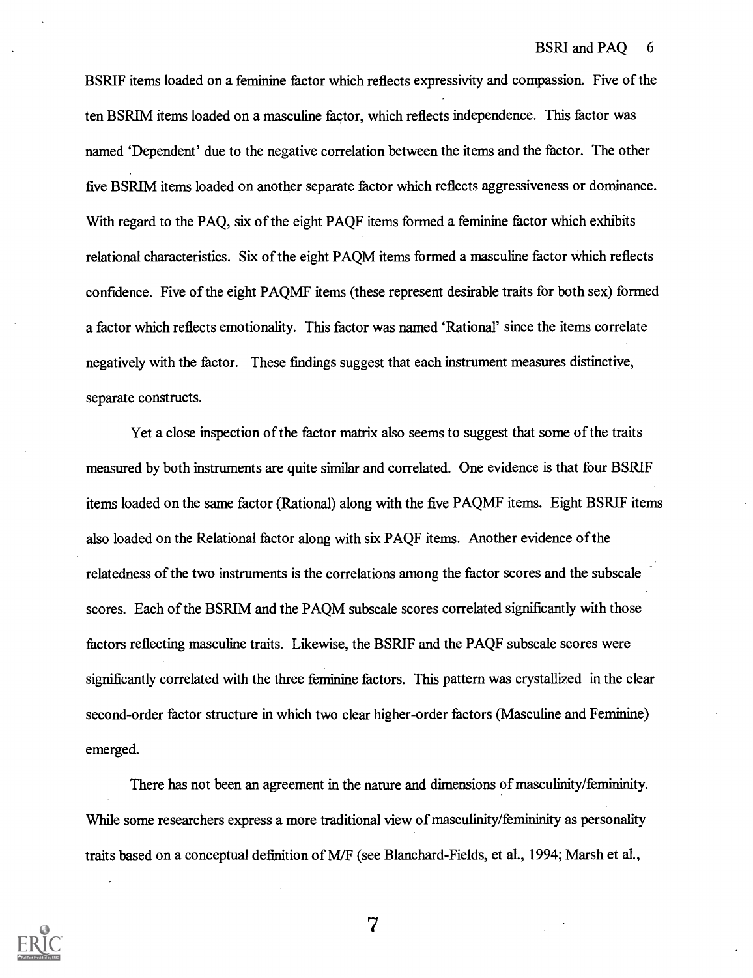BSRIF items loaded on a feminine factor which reflects expressivity and compassion. Five of the ten BSRIM items loaded on a masculine factor, which reflects independence. This factor was named 'Dependent' due to the negative correlation between the items and the factor. The other five BSRIM items loaded on another separate factor which reflects aggressiveness or dominance. With regard to the PAQ, six of the eight PAQF items formed a feminine factor which exhibits relational characteristics. Six of the eight PAQM items formed a masculine factor which reflects confidence. Five of the eight PAQMF items (these represent desirable traits for both sex) formed a factor which reflects emotionality. This factor was named 'Rational' since the items correlate negatively with the factor. These findings suggest that each instrument measures distinctive, separate constructs.

Yet a close inspection of the factor matrix also seems to suggest that some of the traits measured by both instruments are quite similar and correlated. One evidence is that four BSRIF items loaded on the same factor (Rational) along with the five PAQMF items. Eight BSRIF items also loaded on the Relational factor along with six PAQF items. Another evidence of the relatedness of the two instruments is the correlations among the factor scores and the subscale scores. Each of the BSRIM and the PAQM subscale scores correlated significantly with those factors reflecting masculine traits. Likewise, the BSRIF and the PAQF subscale scores were significantly correlated with the three feminine factors. This pattern was crystallized in the clear second-order factor structure in which two clear higher-order factors (Masculine and Feminine) emerged.

There has not been an agreement in the nature and dimensions of masculinity/femininity. While some researchers express a more traditional view of masculinity/femininity as personality traits based on a conceptual definition of M/F (see Blanchard-Fields, et al., 1994; Marsh et al.,

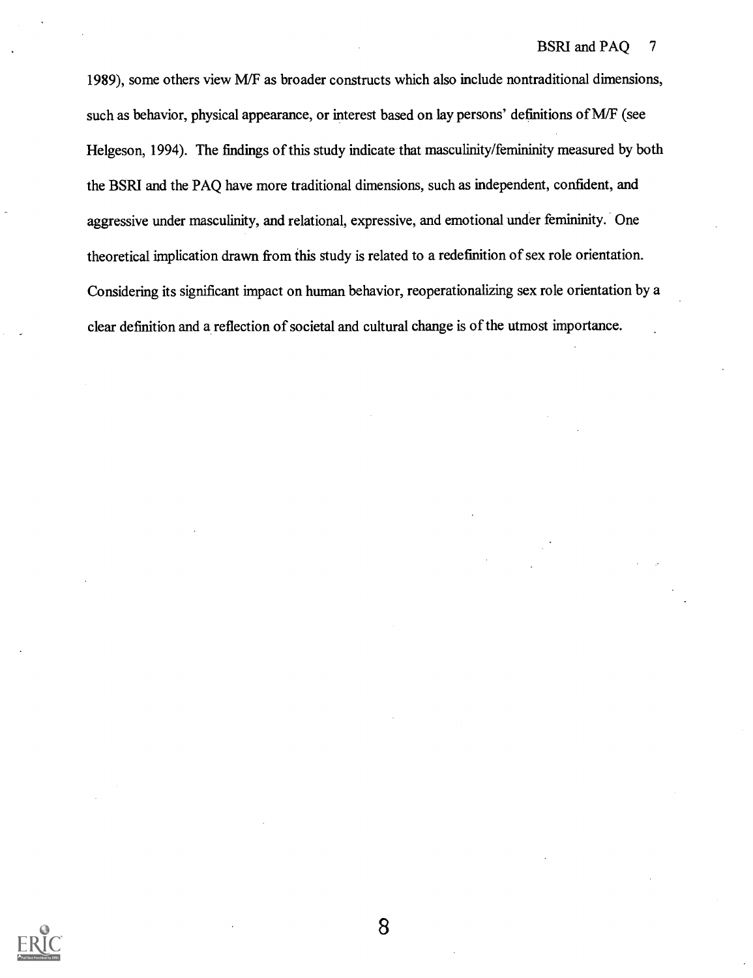1989), some others view M/F as broader constructs which also include nontraditional dimensions, such as behavior, physical appearance, or interest based on lay persons' definitions of M/F (see Helgeson, 1994). The findings of this study indicate that masculinity/femininity measured by both the BSRI and the PAQ have more traditional dimensions, such as independent, confident, and aggressive under masculinity, and relational, expressive, and emotional under femininity. One theoretical implication drawn from this study is related to a redefinition of sex role orientation. Considering its significant impact on human behavior, reoperationalizing sex role orientation by a clear definition and a reflection of societal and cultural change is of the utmost importance.

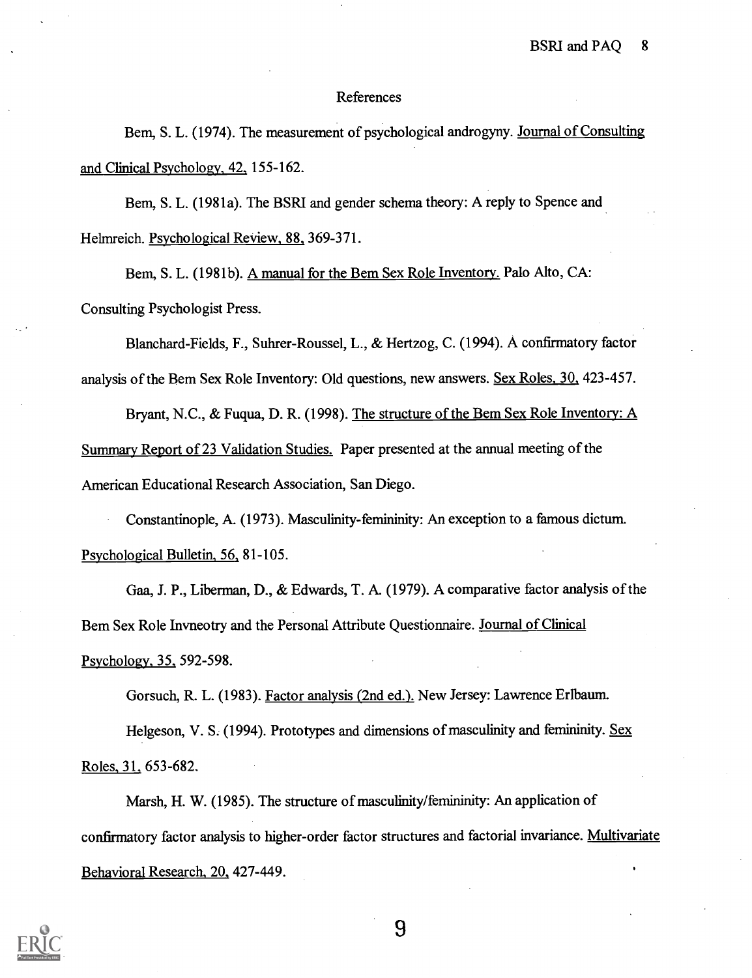#### References

Bem, S. L. (1974). The measurement of psychological androgyny. Journal of Consulting and Clinical Psychology, 42, 155-162.

Bem, S. L. (1981a). The BSRI and gender schema theory: A reply to Spence and Helmreich. Psychological Review, 88, 369-371.

Bern, S. L. (1981b). A manual for the Bem Sex Role Inventory. Palo Alto, CA: Consulting Psychologist Press.

Blanchard-Fields, F., Suhrer-Roussel, L., & Hertzog, C. (1994). A confirmatory factor analysis of the Bem Sex Role Inventory: Old questions, new answers. Sex Roles, 30., 423-457.

Bryant, N.C., & Fugua, D. R. (1998). The structure of the Bem Sex Role Inventory: A Summary Report of 23 Validation Studies. Paper presented at the annual meeting of the American Educational Research Association, San Diego.

Constantinople, A. (1973). Masculinity-femininity: An exception to a famous dictum. Psychological Bulletin, 56, 81-105.

Gaa, J. P., Liberman, D., & Edwards, T. A. (1979). A comparative factor analysis of the Bern Sex Role Invneotry and the Personal Attribute Questionnaire. Journal of Clinical Psychology, 35, 592-598.

Gorsuch, R. L. (1983). Factor analysis (2nd ed.). New Jersey: Lawrence Erlbaum.

Helgeson, V. S. (1994). Prototypes and dimensions of masculinity and femininity. Sex Roles, 31, 653-682.

Marsh, H. W. (1985). The structure of masculinity/femininity: An application of confirmatory factor analysis to higher-order factor structures and factorial invariance. Multivariate Behavioral Research, 20, 427-449.

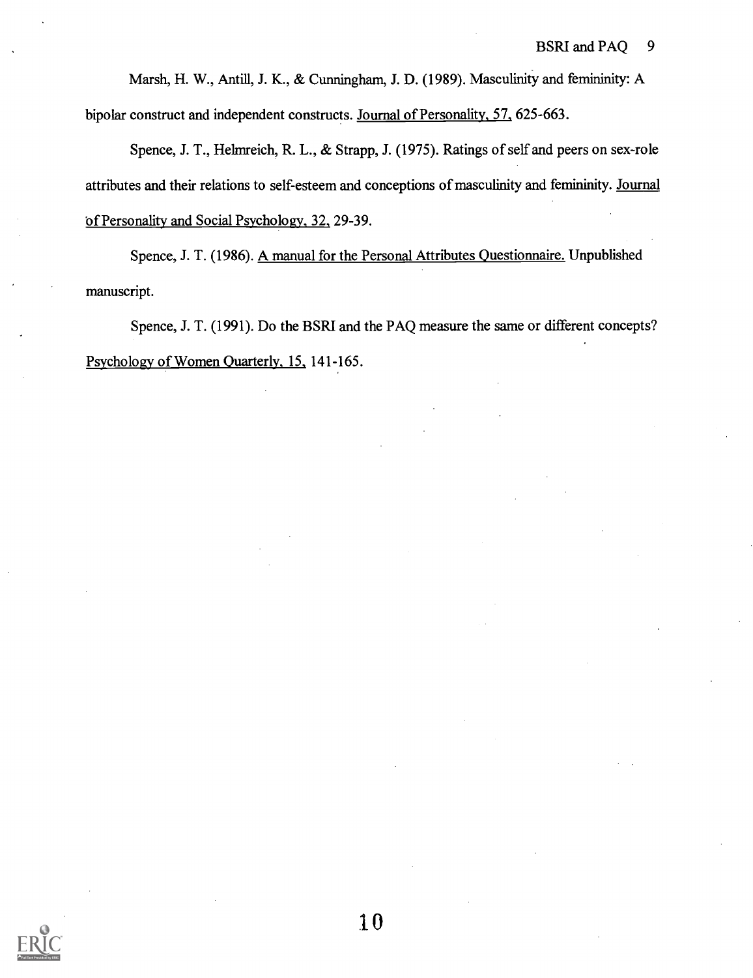Marsh, H. W., Antill, J. K., & Cunningham, J. D. (1989). Masculinity and femininity: A bipolar construct and independent constructs. Journal of Personality, 57, 625-663.

Spence, J. T., Helmreich, R. L., & Strapp, J. (1975). Ratings of self and peers on sex-role attributes and their relations to self-esteem and conceptions of masculinity and femininity. Journal of Personality and Social Psychology, 32, 29-39.

Spence, J. T. (1986). A manual for the Personal Attributes Questionnaire. Unpublished manuscript.

Spence, J. T. (1991). Do the BSRI and the PAQ measure the same or different concepts? Psychology of Women Quarterly, 15, 141-165.

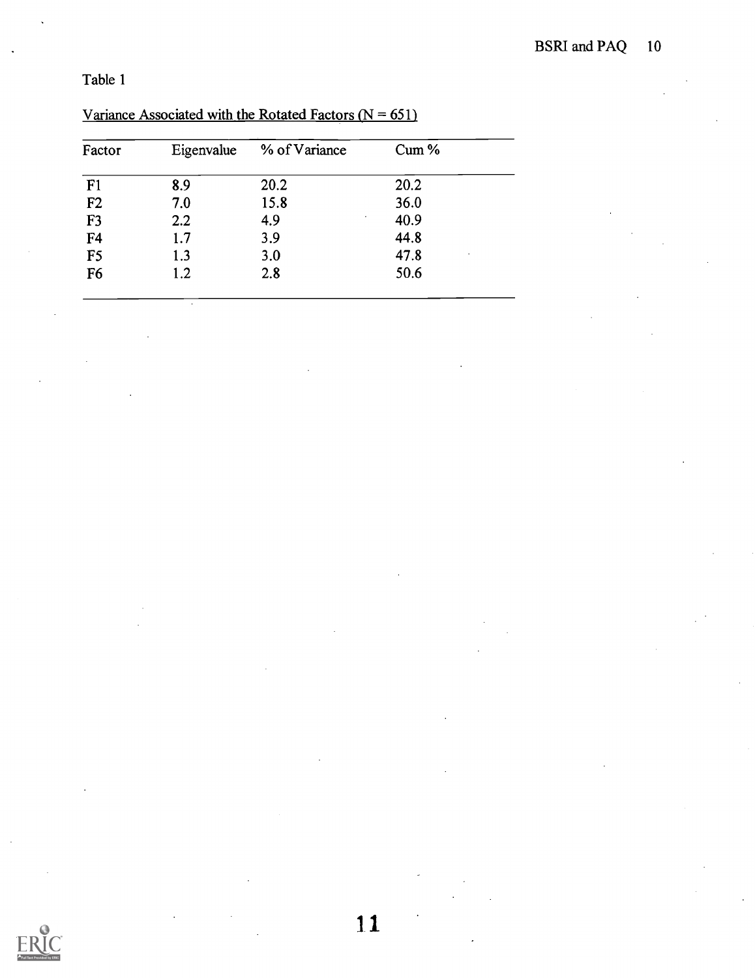| Factor         | Eigenvalue | % of Variance | Cum % |  |
|----------------|------------|---------------|-------|--|
| F <sub>1</sub> | 8.9        | 20.2          | 20.2  |  |
| F <sub>2</sub> | 7.0        | 15.8          | 36.0  |  |
| F <sub>3</sub> | 2.2        | 4.9           | 40.9  |  |
| F <sub>4</sub> | 1.7        | 3.9           | 44.8  |  |
| F <sub>5</sub> | 1.3        | 3.0           | 47.8  |  |
| F <sub>6</sub> | 1.2        | 2.8           | 50.6  |  |

## Variance Associated with the Rotated Factors  $(N = 651)$



1.1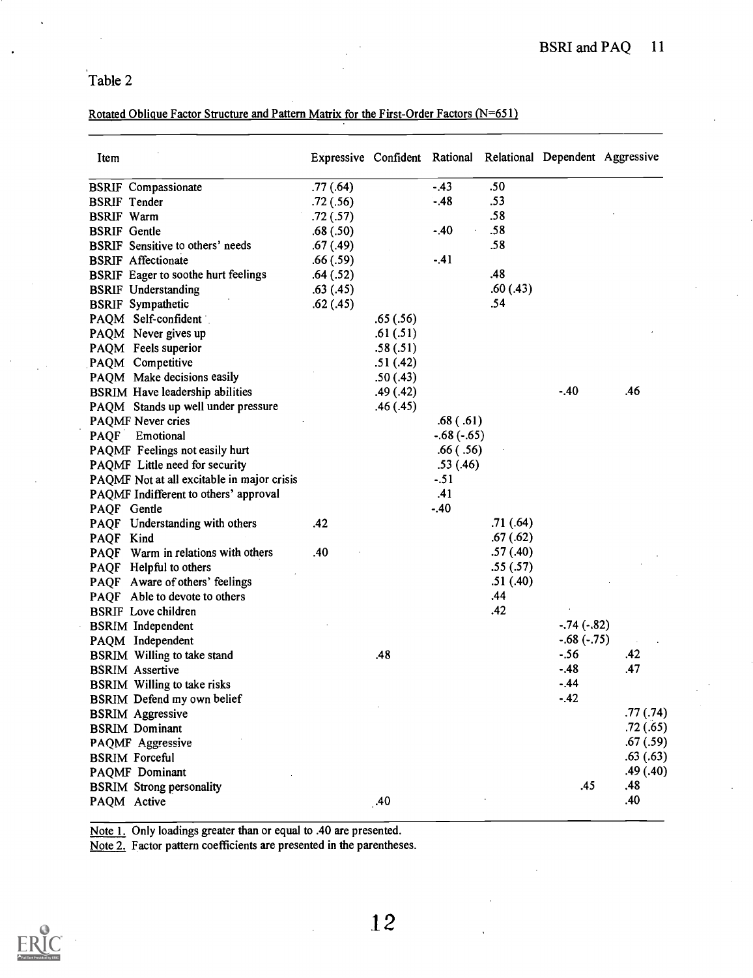## Rotated Oblique Factor Structure and Pattern Matrix for the First-Order Factors (N=651)

| Item                                       |           |           |              |          | Expressive Confident Rational Relational Dependent Aggressive |          |
|--------------------------------------------|-----------|-----------|--------------|----------|---------------------------------------------------------------|----------|
| <b>BSRIF</b> Compassionate                 | .77(0.64) |           | $-.43$       | .50      |                                                               |          |
| <b>BSRIF</b> Tender                        | .72(.56)  |           | $-48$        | .53      |                                                               |          |
| <b>BSRIF</b> Warm                          | .72(.57)  |           |              | .58      |                                                               |          |
| <b>BSRIF</b> Gentle                        | .68(.50)  |           | $-40$        | .58      |                                                               |          |
| <b>BSRIF</b> Sensitive to others' needs    | .67(.49)  |           |              | .58      |                                                               |          |
| <b>BSRIF Affectionate</b>                  | .66(.59)  |           | $-41$        |          |                                                               |          |
| <b>BSRIF</b> Eager to soothe hurt feelings | .64(.52)  |           |              | .48      |                                                               |          |
| <b>BSRIF</b> Understanding                 | .63(.45)  |           |              | .60(.43) |                                                               |          |
| <b>BSRIF</b> Sympathetic                   | .62(.45)  |           |              | .54      |                                                               |          |
| PAQM Self-confident                        |           | .65(.56)  |              |          |                                                               |          |
| PAQM Never gives up                        |           | .61(.51)  |              |          |                                                               |          |
| PAQM Feels superior                        |           | .58(.51)  |              |          |                                                               |          |
| PAQM Competitive                           |           | .51(.42)  |              |          |                                                               |          |
| PAQM Make decisions easily                 |           | .50(0.43) |              |          |                                                               |          |
| <b>BSRIM Have leadership abilities</b>     |           | .49(.42)  |              |          | $-40$                                                         | .46      |
| PAQM Stands up well under pressure         |           | .46(.45)  |              |          |                                                               |          |
| PAQMF Never cries                          |           |           | .68(.61)     |          |                                                               |          |
| PAQF Emotional                             |           |           | $-.68(-.65)$ |          |                                                               |          |
| PAQMF Feelings not easily hurt             |           |           | .66(.56)     |          |                                                               |          |
| PAQMF Little need for security             |           |           | .53(.46)     |          |                                                               |          |
| PAQMF Not at all excitable in major crisis |           |           | $-51$        |          |                                                               |          |
| PAQMF Indifferent to others' approval      |           |           | .41          |          |                                                               |          |
| PAQF Gentle                                |           |           | $-.40$       |          |                                                               |          |
| PAQF Understanding with others             | .42       |           |              | .71(.64) |                                                               |          |
| PAQF Kind                                  |           |           |              | .67(.62) |                                                               |          |
| PAQF Warm in relations with others         | .40       |           |              | .57(.40) |                                                               |          |
| PAQF Helpful to others                     |           |           |              | .55(.57) |                                                               |          |
| PAQF Aware of others' feelings             |           |           |              | .51(.40) |                                                               |          |
| PAQF Able to devote to others              |           |           |              | .44      |                                                               |          |
| <b>BSRIF</b> Love children                 |           |           |              | .42      |                                                               |          |
| <b>BSRIM</b> Independent                   |           |           |              |          | $-.74(-.82)$                                                  |          |
| PAQM Independent                           |           |           |              |          | $-.68(-.75)$                                                  |          |
| <b>BSRIM</b> Willing to take stand         |           | .48       |              |          | $-56$                                                         | .42      |
| <b>BSRIM</b> Assertive                     |           |           |              |          | $-.48$                                                        | .47      |
| <b>BSRIM</b> Willing to take risks         |           |           |              |          | - 44                                                          |          |
| BSRIM Defend my own belief                 |           |           |              |          | $-.42$                                                        |          |
| <b>BSRIM</b> Aggressive                    |           |           |              |          |                                                               | .77(.74) |
| <b>BSRIM</b> Dominant                      |           |           |              |          |                                                               | .72(.65) |
| PAQMF Aggressive                           |           |           |              |          |                                                               | .67(.59) |
| <b>BSRIM Forceful</b>                      |           |           |              |          |                                                               | .63(.63) |
| PAQMF Dominant                             |           |           |              |          |                                                               | .49(.40) |
| <b>BSRIM Strong personality</b>            |           |           |              |          | .45                                                           | .48      |
| PAQM Active                                |           | .40       |              |          |                                                               | .40      |
|                                            |           |           |              |          |                                                               |          |

Note 1. Only loadings greater than or equal to .40 are presented.

Note 2. Factor pattern coefficients are presented in the parentheses.

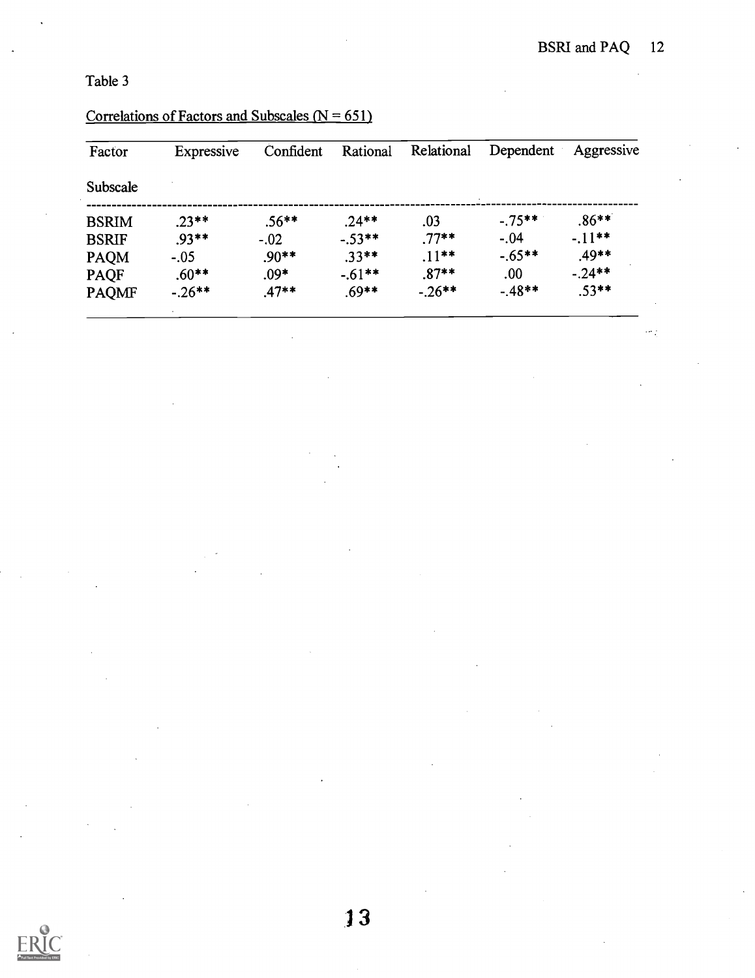| Factor       | Expressive | Confident | Rational | Relational | Dependent  | Aggressive |
|--------------|------------|-----------|----------|------------|------------|------------|
| Subscale     |            |           |          |            |            |            |
| <b>BSRIM</b> | $.23**$    | $.56**$   | $.24**$  | .03        | $-0.75***$ | $.86**$    |
| <b>BSRIF</b> | $.93**$    | $-.02$    | $-.53**$ | $.77**$    | $-.04$     | $-11**$    |
| <b>PAQM</b>  | $-.05$     | $.90**$   | $.33**$  | $.11***$   | $-.65**$   | $.49**$    |
| <b>PAQF</b>  | $.60**$    | $.09*$    | $-.61**$ | $.87**$    | .00.       | $-.24**$   |
| <b>PAQMF</b> | $-.26**$   | $.47**$   | $.69**$  | $-.26***$  | $-.48**$   | $.53**$    |

## Correlations of Factors and Subscales  $(N = 651)$

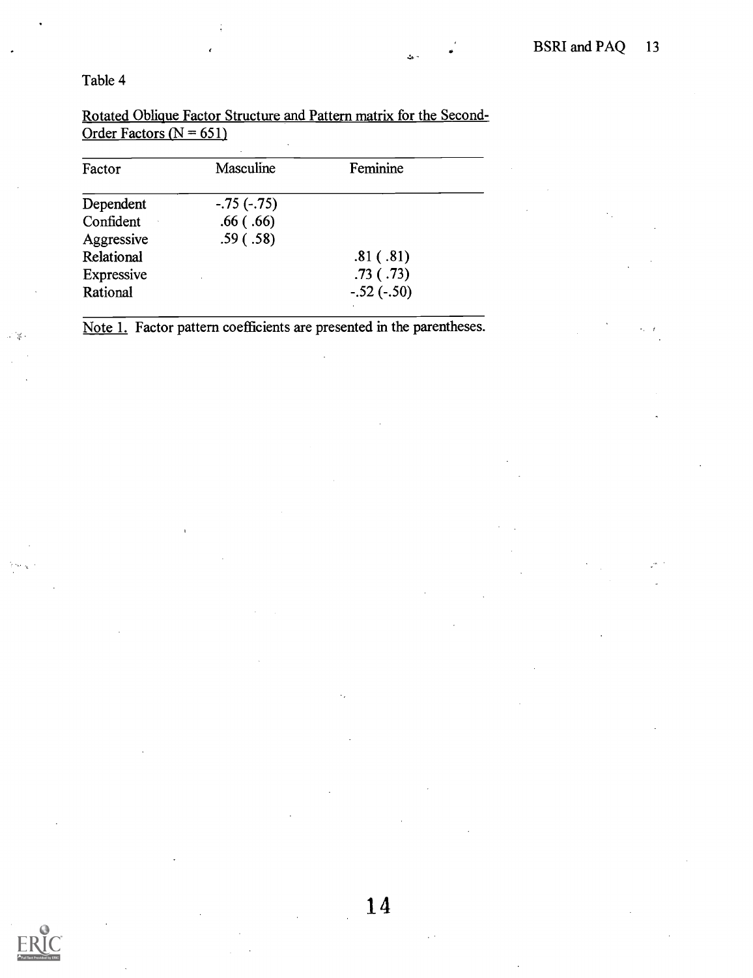Rotated Oblique Factor Structure and Pattern matrix for the Second-Order Factors ( $N = 651$ )

| Factor     | Masculine    | Feminine     |  |
|------------|--------------|--------------|--|
| Dependent  | $-.75(-.75)$ |              |  |
| Confident  | .66(.66)     |              |  |
| Aggressive | .59(.58)     |              |  |
| Relational |              | .81(.81)     |  |
| Expressive |              | .73(.73)     |  |
| Rational   |              | $-.52(-.50)$ |  |
|            |              |              |  |

Note 1. Factor pattern coefficients are presented in the parentheses.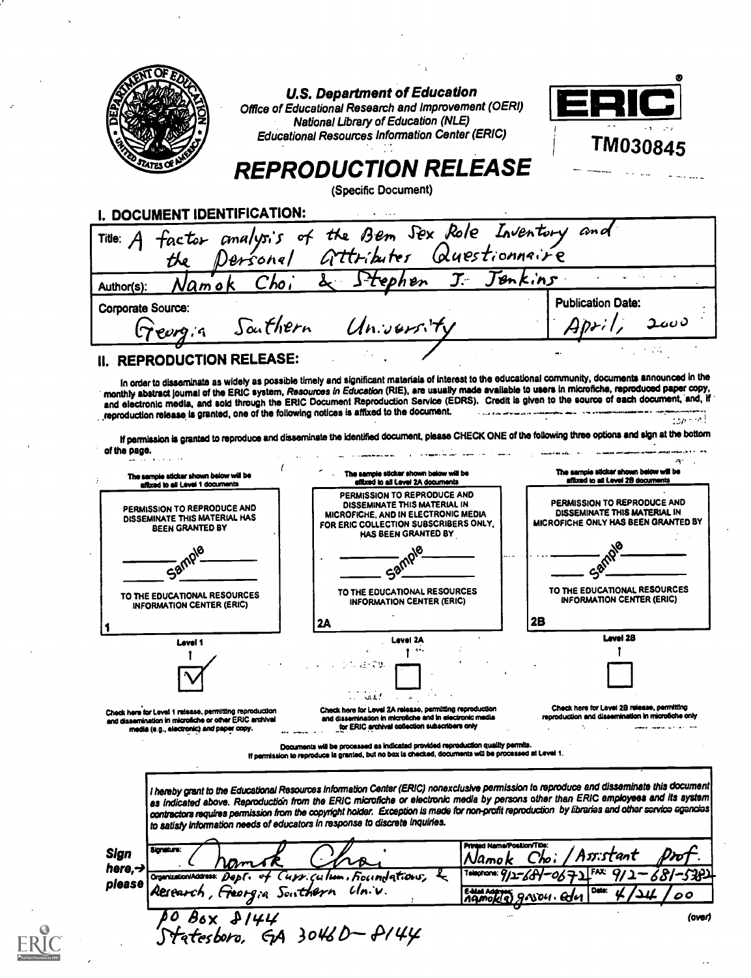| <b>U.S. Department of Education</b><br>Office of Educational Research and Improvement (OERI)<br>National Library of Education (NLE)<br><b>Educational Resources Information Center (ERIC)</b><br>TM030845<br><b>REPRODUCTION RELEASE</b><br>(Specific Document)<br>factor analysis of the Bem Sex Role Inventory and<br>the Personal Attributer Questionnaire<br>Jenkins<br>Frephen<br>Сһо<br><u>Namok</u><br><b>Publication Date:</b><br>Aprit<br>Sauthern<br>ە بىمە<br>Univers.<br>porg;a<br>The sample sticker shown below will be<br>The sample sticker shown below will be<br>The sample sticker shown below will be<br>affixed to all Level 28 documents<br>affixed to all Level 2A documents<br>affixed to all Level 1 documents<br>PERMISSION TO REPRODUCE AND<br>PERMISSION TO REPRODUCE AND<br>DISSEMINATE THIS MATERIAL IN<br>PERMISSION TO REPRODUCE AND<br>DISSEMINATE THIS MATERIAL IN<br><b>MICROFICHE, AND IN ELECTRONIC MEDIA</b><br>DISSEMINATE THIS MATERIAL HAS<br>FOR ERIC COLLECTION SUBSCRIBERS ONLY.<br><b>BEEN GRANTED BY</b><br>HAS BEEN GRANTED BY<br>TO THE EDUCATIONAL RESOURCES<br>TO THE EDUCATIONAL RESOURCES<br>TO THE EDUCATIONAL RESOURCES<br><b>INFORMATION CENTER (ERIC)</b><br><b>INFORMATION CENTER (ERIC)</b><br><b>INFORMATION CENTER (ERIC)</b><br>2B<br>2A<br>Level 2B<br>Level 2A<br>Level 1<br>$\sim 0.1$<br>Check here for Level 2B release, permitting<br>Check here for Level 2A release, permitting reproduction<br>reproduction and dissemination in microfiche only<br>and dissemination in microfiche and in electronic media<br>for ERIC archival collection subscribers only<br>media (e.g., electronic) and paper copy.<br>Documents will be processed as indicated provided reproduction quality permits.<br>If permission to reproduce is granted, but no box is checked, documents will be processed at Level 1. | I. DOCUMENT IDENTIFICATION:<br>Title: A<br>Author(s):<br>Corporate Source:<br>II. REPRODUCTION RELEASE:<br>monthly abstract journal of the ERIC system, Resources in Education (RIE), are usually made available to users in microfiche, reproduced paper copy,<br>and electronic media, and sold through the ERIC Document Reproduction Service (EDRS). Credit is given to the source of each document, and, if<br>reproduction release is granted, one of the following notices is affixed to the document.<br>of the page.<br>MICROFICHE ONLY HAS BEEN GRANTED BY<br>Chack here for Level 1 release, permitting reproduction<br>and dissemination in microfiche or other ERIC archival<br>to satisfy information needs of educators in response to discrete inquiries.<br>Printed Name/Position/Title:<br>Signature:<br>Sign<br>Namo<br>here, $\rightarrow$<br>undations.<br>Organization/Address:<br>please<br>Univ.<br>Research , Freergia Southern<br>E-Mai Address<br>00<br>мои. | In order to disseminate as widely as possible timely and significant materials of interest to the educational community, documents announced in the<br>If permission is granted to reproduce and disseminate the identified document, please CHECK ONE of the following three options and sign at the bottom<br>I hereby grant to the Educational Resources Information Center (ERIC) nonexclusive permission to reproduce and disseminate this document<br>as indicated above. Reproduction from the ERIC microfiche or electronic media by persons other than ERIC employees and its system<br>contractors requires permission from the copyright holder. Exception is made for non-profit reproduction by libraries and other service agencies<br>(over)<br>с #144<br>boro, GA 3046D— P144 |  |  |
|----------------------------------------------------------------------------------------------------------------------------------------------------------------------------------------------------------------------------------------------------------------------------------------------------------------------------------------------------------------------------------------------------------------------------------------------------------------------------------------------------------------------------------------------------------------------------------------------------------------------------------------------------------------------------------------------------------------------------------------------------------------------------------------------------------------------------------------------------------------------------------------------------------------------------------------------------------------------------------------------------------------------------------------------------------------------------------------------------------------------------------------------------------------------------------------------------------------------------------------------------------------------------------------------------------------------------------------------------------------------------------------------------------------------------------------------------------------------------------------------------------------------------------------------------------------------------------------------------------------------------------------------------------------------------------------------------------------------------------------------------------------------------------------------------------------------------------------------------------------------------|-----------------------------------------------------------------------------------------------------------------------------------------------------------------------------------------------------------------------------------------------------------------------------------------------------------------------------------------------------------------------------------------------------------------------------------------------------------------------------------------------------------------------------------------------------------------------------------------------------------------------------------------------------------------------------------------------------------------------------------------------------------------------------------------------------------------------------------------------------------------------------------------------------------------------------------------------------------------------------------------|-----------------------------------------------------------------------------------------------------------------------------------------------------------------------------------------------------------------------------------------------------------------------------------------------------------------------------------------------------------------------------------------------------------------------------------------------------------------------------------------------------------------------------------------------------------------------------------------------------------------------------------------------------------------------------------------------------------------------------------------------------------------------------------------------|--|--|
|                                                                                                                                                                                                                                                                                                                                                                                                                                                                                                                                                                                                                                                                                                                                                                                                                                                                                                                                                                                                                                                                                                                                                                                                                                                                                                                                                                                                                                                                                                                                                                                                                                                                                                                                                                                                                                                                            |                                                                                                                                                                                                                                                                                                                                                                                                                                                                                                                                                                                                                                                                                                                                                                                                                                                                                                                                                                                         |                                                                                                                                                                                                                                                                                                                                                                                                                                                                                                                                                                                                                                                                                                                                                                                               |  |  |
|                                                                                                                                                                                                                                                                                                                                                                                                                                                                                                                                                                                                                                                                                                                                                                                                                                                                                                                                                                                                                                                                                                                                                                                                                                                                                                                                                                                                                                                                                                                                                                                                                                                                                                                                                                                                                                                                            |                                                                                                                                                                                                                                                                                                                                                                                                                                                                                                                                                                                                                                                                                                                                                                                                                                                                                                                                                                                         |                                                                                                                                                                                                                                                                                                                                                                                                                                                                                                                                                                                                                                                                                                                                                                                               |  |  |
|                                                                                                                                                                                                                                                                                                                                                                                                                                                                                                                                                                                                                                                                                                                                                                                                                                                                                                                                                                                                                                                                                                                                                                                                                                                                                                                                                                                                                                                                                                                                                                                                                                                                                                                                                                                                                                                                            |                                                                                                                                                                                                                                                                                                                                                                                                                                                                                                                                                                                                                                                                                                                                                                                                                                                                                                                                                                                         |                                                                                                                                                                                                                                                                                                                                                                                                                                                                                                                                                                                                                                                                                                                                                                                               |  |  |
|                                                                                                                                                                                                                                                                                                                                                                                                                                                                                                                                                                                                                                                                                                                                                                                                                                                                                                                                                                                                                                                                                                                                                                                                                                                                                                                                                                                                                                                                                                                                                                                                                                                                                                                                                                                                                                                                            |                                                                                                                                                                                                                                                                                                                                                                                                                                                                                                                                                                                                                                                                                                                                                                                                                                                                                                                                                                                         |                                                                                                                                                                                                                                                                                                                                                                                                                                                                                                                                                                                                                                                                                                                                                                                               |  |  |
|                                                                                                                                                                                                                                                                                                                                                                                                                                                                                                                                                                                                                                                                                                                                                                                                                                                                                                                                                                                                                                                                                                                                                                                                                                                                                                                                                                                                                                                                                                                                                                                                                                                                                                                                                                                                                                                                            |                                                                                                                                                                                                                                                                                                                                                                                                                                                                                                                                                                                                                                                                                                                                                                                                                                                                                                                                                                                         |                                                                                                                                                                                                                                                                                                                                                                                                                                                                                                                                                                                                                                                                                                                                                                                               |  |  |
|                                                                                                                                                                                                                                                                                                                                                                                                                                                                                                                                                                                                                                                                                                                                                                                                                                                                                                                                                                                                                                                                                                                                                                                                                                                                                                                                                                                                                                                                                                                                                                                                                                                                                                                                                                                                                                                                            |                                                                                                                                                                                                                                                                                                                                                                                                                                                                                                                                                                                                                                                                                                                                                                                                                                                                                                                                                                                         |                                                                                                                                                                                                                                                                                                                                                                                                                                                                                                                                                                                                                                                                                                                                                                                               |  |  |
|                                                                                                                                                                                                                                                                                                                                                                                                                                                                                                                                                                                                                                                                                                                                                                                                                                                                                                                                                                                                                                                                                                                                                                                                                                                                                                                                                                                                                                                                                                                                                                                                                                                                                                                                                                                                                                                                            |                                                                                                                                                                                                                                                                                                                                                                                                                                                                                                                                                                                                                                                                                                                                                                                                                                                                                                                                                                                         |                                                                                                                                                                                                                                                                                                                                                                                                                                                                                                                                                                                                                                                                                                                                                                                               |  |  |
|                                                                                                                                                                                                                                                                                                                                                                                                                                                                                                                                                                                                                                                                                                                                                                                                                                                                                                                                                                                                                                                                                                                                                                                                                                                                                                                                                                                                                                                                                                                                                                                                                                                                                                                                                                                                                                                                            |                                                                                                                                                                                                                                                                                                                                                                                                                                                                                                                                                                                                                                                                                                                                                                                                                                                                                                                                                                                         |                                                                                                                                                                                                                                                                                                                                                                                                                                                                                                                                                                                                                                                                                                                                                                                               |  |  |
|                                                                                                                                                                                                                                                                                                                                                                                                                                                                                                                                                                                                                                                                                                                                                                                                                                                                                                                                                                                                                                                                                                                                                                                                                                                                                                                                                                                                                                                                                                                                                                                                                                                                                                                                                                                                                                                                            |                                                                                                                                                                                                                                                                                                                                                                                                                                                                                                                                                                                                                                                                                                                                                                                                                                                                                                                                                                                         |                                                                                                                                                                                                                                                                                                                                                                                                                                                                                                                                                                                                                                                                                                                                                                                               |  |  |
|                                                                                                                                                                                                                                                                                                                                                                                                                                                                                                                                                                                                                                                                                                                                                                                                                                                                                                                                                                                                                                                                                                                                                                                                                                                                                                                                                                                                                                                                                                                                                                                                                                                                                                                                                                                                                                                                            |                                                                                                                                                                                                                                                                                                                                                                                                                                                                                                                                                                                                                                                                                                                                                                                                                                                                                                                                                                                         |                                                                                                                                                                                                                                                                                                                                                                                                                                                                                                                                                                                                                                                                                                                                                                                               |  |  |
|                                                                                                                                                                                                                                                                                                                                                                                                                                                                                                                                                                                                                                                                                                                                                                                                                                                                                                                                                                                                                                                                                                                                                                                                                                                                                                                                                                                                                                                                                                                                                                                                                                                                                                                                                                                                                                                                            |                                                                                                                                                                                                                                                                                                                                                                                                                                                                                                                                                                                                                                                                                                                                                                                                                                                                                                                                                                                         |                                                                                                                                                                                                                                                                                                                                                                                                                                                                                                                                                                                                                                                                                                                                                                                               |  |  |
|                                                                                                                                                                                                                                                                                                                                                                                                                                                                                                                                                                                                                                                                                                                                                                                                                                                                                                                                                                                                                                                                                                                                                                                                                                                                                                                                                                                                                                                                                                                                                                                                                                                                                                                                                                                                                                                                            |                                                                                                                                                                                                                                                                                                                                                                                                                                                                                                                                                                                                                                                                                                                                                                                                                                                                                                                                                                                         |                                                                                                                                                                                                                                                                                                                                                                                                                                                                                                                                                                                                                                                                                                                                                                                               |  |  |
|                                                                                                                                                                                                                                                                                                                                                                                                                                                                                                                                                                                                                                                                                                                                                                                                                                                                                                                                                                                                                                                                                                                                                                                                                                                                                                                                                                                                                                                                                                                                                                                                                                                                                                                                                                                                                                                                            |                                                                                                                                                                                                                                                                                                                                                                                                                                                                                                                                                                                                                                                                                                                                                                                                                                                                                                                                                                                         |                                                                                                                                                                                                                                                                                                                                                                                                                                                                                                                                                                                                                                                                                                                                                                                               |  |  |
|                                                                                                                                                                                                                                                                                                                                                                                                                                                                                                                                                                                                                                                                                                                                                                                                                                                                                                                                                                                                                                                                                                                                                                                                                                                                                                                                                                                                                                                                                                                                                                                                                                                                                                                                                                                                                                                                            |                                                                                                                                                                                                                                                                                                                                                                                                                                                                                                                                                                                                                                                                                                                                                                                                                                                                                                                                                                                         |                                                                                                                                                                                                                                                                                                                                                                                                                                                                                                                                                                                                                                                                                                                                                                                               |  |  |
|                                                                                                                                                                                                                                                                                                                                                                                                                                                                                                                                                                                                                                                                                                                                                                                                                                                                                                                                                                                                                                                                                                                                                                                                                                                                                                                                                                                                                                                                                                                                                                                                                                                                                                                                                                                                                                                                            |                                                                                                                                                                                                                                                                                                                                                                                                                                                                                                                                                                                                                                                                                                                                                                                                                                                                                                                                                                                         |                                                                                                                                                                                                                                                                                                                                                                                                                                                                                                                                                                                                                                                                                                                                                                                               |  |  |
|                                                                                                                                                                                                                                                                                                                                                                                                                                                                                                                                                                                                                                                                                                                                                                                                                                                                                                                                                                                                                                                                                                                                                                                                                                                                                                                                                                                                                                                                                                                                                                                                                                                                                                                                                                                                                                                                            |                                                                                                                                                                                                                                                                                                                                                                                                                                                                                                                                                                                                                                                                                                                                                                                                                                                                                                                                                                                         |                                                                                                                                                                                                                                                                                                                                                                                                                                                                                                                                                                                                                                                                                                                                                                                               |  |  |
|                                                                                                                                                                                                                                                                                                                                                                                                                                                                                                                                                                                                                                                                                                                                                                                                                                                                                                                                                                                                                                                                                                                                                                                                                                                                                                                                                                                                                                                                                                                                                                                                                                                                                                                                                                                                                                                                            |                                                                                                                                                                                                                                                                                                                                                                                                                                                                                                                                                                                                                                                                                                                                                                                                                                                                                                                                                                                         |                                                                                                                                                                                                                                                                                                                                                                                                                                                                                                                                                                                                                                                                                                                                                                                               |  |  |
|                                                                                                                                                                                                                                                                                                                                                                                                                                                                                                                                                                                                                                                                                                                                                                                                                                                                                                                                                                                                                                                                                                                                                                                                                                                                                                                                                                                                                                                                                                                                                                                                                                                                                                                                                                                                                                                                            |                                                                                                                                                                                                                                                                                                                                                                                                                                                                                                                                                                                                                                                                                                                                                                                                                                                                                                                                                                                         |                                                                                                                                                                                                                                                                                                                                                                                                                                                                                                                                                                                                                                                                                                                                                                                               |  |  |
|                                                                                                                                                                                                                                                                                                                                                                                                                                                                                                                                                                                                                                                                                                                                                                                                                                                                                                                                                                                                                                                                                                                                                                                                                                                                                                                                                                                                                                                                                                                                                                                                                                                                                                                                                                                                                                                                            |                                                                                                                                                                                                                                                                                                                                                                                                                                                                                                                                                                                                                                                                                                                                                                                                                                                                                                                                                                                         |                                                                                                                                                                                                                                                                                                                                                                                                                                                                                                                                                                                                                                                                                                                                                                                               |  |  |
|                                                                                                                                                                                                                                                                                                                                                                                                                                                                                                                                                                                                                                                                                                                                                                                                                                                                                                                                                                                                                                                                                                                                                                                                                                                                                                                                                                                                                                                                                                                                                                                                                                                                                                                                                                                                                                                                            |                                                                                                                                                                                                                                                                                                                                                                                                                                                                                                                                                                                                                                                                                                                                                                                                                                                                                                                                                                                         |                                                                                                                                                                                                                                                                                                                                                                                                                                                                                                                                                                                                                                                                                                                                                                                               |  |  |
|                                                                                                                                                                                                                                                                                                                                                                                                                                                                                                                                                                                                                                                                                                                                                                                                                                                                                                                                                                                                                                                                                                                                                                                                                                                                                                                                                                                                                                                                                                                                                                                                                                                                                                                                                                                                                                                                            |                                                                                                                                                                                                                                                                                                                                                                                                                                                                                                                                                                                                                                                                                                                                                                                                                                                                                                                                                                                         |                                                                                                                                                                                                                                                                                                                                                                                                                                                                                                                                                                                                                                                                                                                                                                                               |  |  |
|                                                                                                                                                                                                                                                                                                                                                                                                                                                                                                                                                                                                                                                                                                                                                                                                                                                                                                                                                                                                                                                                                                                                                                                                                                                                                                                                                                                                                                                                                                                                                                                                                                                                                                                                                                                                                                                                            |                                                                                                                                                                                                                                                                                                                                                                                                                                                                                                                                                                                                                                                                                                                                                                                                                                                                                                                                                                                         |                                                                                                                                                                                                                                                                                                                                                                                                                                                                                                                                                                                                                                                                                                                                                                                               |  |  |
|                                                                                                                                                                                                                                                                                                                                                                                                                                                                                                                                                                                                                                                                                                                                                                                                                                                                                                                                                                                                                                                                                                                                                                                                                                                                                                                                                                                                                                                                                                                                                                                                                                                                                                                                                                                                                                                                            |                                                                                                                                                                                                                                                                                                                                                                                                                                                                                                                                                                                                                                                                                                                                                                                                                                                                                                                                                                                         |                                                                                                                                                                                                                                                                                                                                                                                                                                                                                                                                                                                                                                                                                                                                                                                               |  |  |
|                                                                                                                                                                                                                                                                                                                                                                                                                                                                                                                                                                                                                                                                                                                                                                                                                                                                                                                                                                                                                                                                                                                                                                                                                                                                                                                                                                                                                                                                                                                                                                                                                                                                                                                                                                                                                                                                            |                                                                                                                                                                                                                                                                                                                                                                                                                                                                                                                                                                                                                                                                                                                                                                                                                                                                                                                                                                                         |                                                                                                                                                                                                                                                                                                                                                                                                                                                                                                                                                                                                                                                                                                                                                                                               |  |  |
|                                                                                                                                                                                                                                                                                                                                                                                                                                                                                                                                                                                                                                                                                                                                                                                                                                                                                                                                                                                                                                                                                                                                                                                                                                                                                                                                                                                                                                                                                                                                                                                                                                                                                                                                                                                                                                                                            |                                                                                                                                                                                                                                                                                                                                                                                                                                                                                                                                                                                                                                                                                                                                                                                                                                                                                                                                                                                         |                                                                                                                                                                                                                                                                                                                                                                                                                                                                                                                                                                                                                                                                                                                                                                                               |  |  |
|                                                                                                                                                                                                                                                                                                                                                                                                                                                                                                                                                                                                                                                                                                                                                                                                                                                                                                                                                                                                                                                                                                                                                                                                                                                                                                                                                                                                                                                                                                                                                                                                                                                                                                                                                                                                                                                                            |                                                                                                                                                                                                                                                                                                                                                                                                                                                                                                                                                                                                                                                                                                                                                                                                                                                                                                                                                                                         |                                                                                                                                                                                                                                                                                                                                                                                                                                                                                                                                                                                                                                                                                                                                                                                               |  |  |
|                                                                                                                                                                                                                                                                                                                                                                                                                                                                                                                                                                                                                                                                                                                                                                                                                                                                                                                                                                                                                                                                                                                                                                                                                                                                                                                                                                                                                                                                                                                                                                                                                                                                                                                                                                                                                                                                            |                                                                                                                                                                                                                                                                                                                                                                                                                                                                                                                                                                                                                                                                                                                                                                                                                                                                                                                                                                                         |                                                                                                                                                                                                                                                                                                                                                                                                                                                                                                                                                                                                                                                                                                                                                                                               |  |  |
|                                                                                                                                                                                                                                                                                                                                                                                                                                                                                                                                                                                                                                                                                                                                                                                                                                                                                                                                                                                                                                                                                                                                                                                                                                                                                                                                                                                                                                                                                                                                                                                                                                                                                                                                                                                                                                                                            |                                                                                                                                                                                                                                                                                                                                                                                                                                                                                                                                                                                                                                                                                                                                                                                                                                                                                                                                                                                         |                                                                                                                                                                                                                                                                                                                                                                                                                                                                                                                                                                                                                                                                                                                                                                                               |  |  |

 $ERIC$